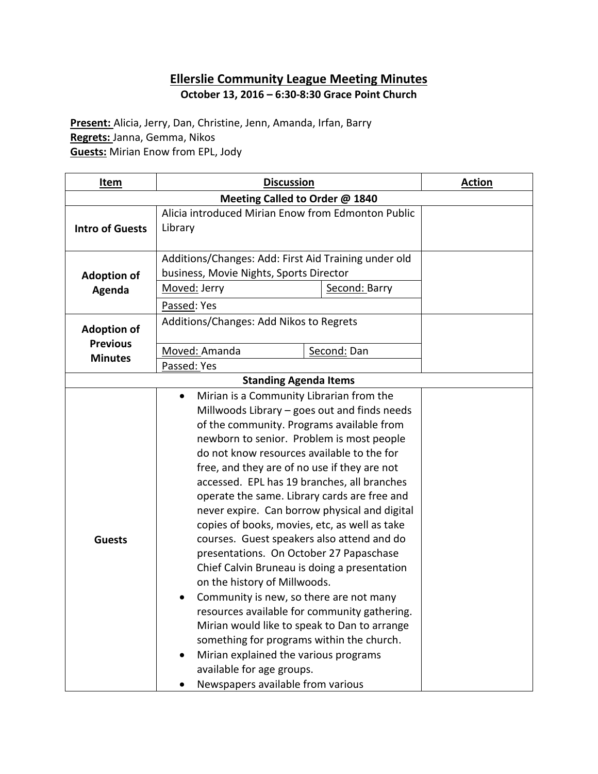# **Ellerslie Community League Meeting Minutes October 13, 2016 – 6:30-8:30 Grace Point Church**

**Present:** Alicia, Jerry, Dan, Christine, Jenn, Amanda, Irfan, Barry **Regrets:** Janna, Gemma, Nikos **Guests:** Mirian Enow from EPL, Jody

| <u>Item</u>                       | <b>Discussion</b>                                                                                                                                                                                                                                                                                                                                                                                                                                                                                                                                                                                                                                                                                                                                                                                                                                                                                                                                                                             |               | <b>Action</b> |  |
|-----------------------------------|-----------------------------------------------------------------------------------------------------------------------------------------------------------------------------------------------------------------------------------------------------------------------------------------------------------------------------------------------------------------------------------------------------------------------------------------------------------------------------------------------------------------------------------------------------------------------------------------------------------------------------------------------------------------------------------------------------------------------------------------------------------------------------------------------------------------------------------------------------------------------------------------------------------------------------------------------------------------------------------------------|---------------|---------------|--|
| Meeting Called to Order @ 1840    |                                                                                                                                                                                                                                                                                                                                                                                                                                                                                                                                                                                                                                                                                                                                                                                                                                                                                                                                                                                               |               |               |  |
|                                   | Alicia introduced Mirian Enow from Edmonton Public                                                                                                                                                                                                                                                                                                                                                                                                                                                                                                                                                                                                                                                                                                                                                                                                                                                                                                                                            |               |               |  |
| <b>Intro of Guests</b>            | Library                                                                                                                                                                                                                                                                                                                                                                                                                                                                                                                                                                                                                                                                                                                                                                                                                                                                                                                                                                                       |               |               |  |
|                                   | Additions/Changes: Add: First Aid Training under old                                                                                                                                                                                                                                                                                                                                                                                                                                                                                                                                                                                                                                                                                                                                                                                                                                                                                                                                          |               |               |  |
| <b>Adoption of</b>                | business, Movie Nights, Sports Director                                                                                                                                                                                                                                                                                                                                                                                                                                                                                                                                                                                                                                                                                                                                                                                                                                                                                                                                                       |               |               |  |
| Agenda                            | Moved: Jerry                                                                                                                                                                                                                                                                                                                                                                                                                                                                                                                                                                                                                                                                                                                                                                                                                                                                                                                                                                                  | Second: Barry |               |  |
|                                   | Passed: Yes                                                                                                                                                                                                                                                                                                                                                                                                                                                                                                                                                                                                                                                                                                                                                                                                                                                                                                                                                                                   |               |               |  |
| <b>Adoption of</b>                | Additions/Changes: Add Nikos to Regrets                                                                                                                                                                                                                                                                                                                                                                                                                                                                                                                                                                                                                                                                                                                                                                                                                                                                                                                                                       |               |               |  |
| <b>Previous</b><br><b>Minutes</b> | Moved: Amanda                                                                                                                                                                                                                                                                                                                                                                                                                                                                                                                                                                                                                                                                                                                                                                                                                                                                                                                                                                                 | Second: Dan   |               |  |
|                                   | Passed: Yes                                                                                                                                                                                                                                                                                                                                                                                                                                                                                                                                                                                                                                                                                                                                                                                                                                                                                                                                                                                   |               |               |  |
|                                   |                                                                                                                                                                                                                                                                                                                                                                                                                                                                                                                                                                                                                                                                                                                                                                                                                                                                                                                                                                                               |               |               |  |
| <b>Guests</b>                     | <b>Standing Agenda Items</b><br>Mirian is a Community Librarian from the<br>Millwoods Library - goes out and finds needs<br>of the community. Programs available from<br>newborn to senior. Problem is most people<br>do not know resources available to the for<br>free, and they are of no use if they are not<br>accessed. EPL has 19 branches, all branches<br>operate the same. Library cards are free and<br>never expire. Can borrow physical and digital<br>copies of books, movies, etc, as well as take<br>courses. Guest speakers also attend and do<br>presentations. On October 27 Papaschase<br>Chief Calvin Bruneau is doing a presentation<br>on the history of Millwoods.<br>Community is new, so there are not many<br>resources available for community gathering.<br>Mirian would like to speak to Dan to arrange<br>something for programs within the church.<br>Mirian explained the various programs<br>available for age groups.<br>Newspapers available from various |               |               |  |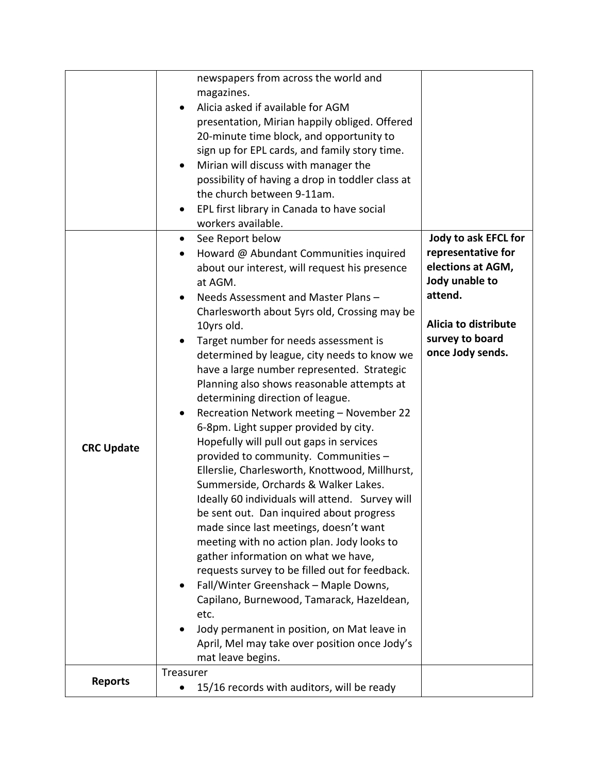|                   | newspapers from across the world and<br>magazines.<br>Alicia asked if available for AGM<br>presentation, Mirian happily obliged. Offered<br>20-minute time block, and opportunity to<br>sign up for EPL cards, and family story time.<br>Mirian will discuss with manager the<br>٠<br>possibility of having a drop in toddler class at<br>the church between 9-11am.<br>EPL first library in Canada to have social<br>$\bullet$<br>workers available.                                                                                                                                                                                                                                                                                                                                                                                                                                                                                                                                                                                                                                                                                                                                                                                                                              |                                                                                                                                                             |
|-------------------|------------------------------------------------------------------------------------------------------------------------------------------------------------------------------------------------------------------------------------------------------------------------------------------------------------------------------------------------------------------------------------------------------------------------------------------------------------------------------------------------------------------------------------------------------------------------------------------------------------------------------------------------------------------------------------------------------------------------------------------------------------------------------------------------------------------------------------------------------------------------------------------------------------------------------------------------------------------------------------------------------------------------------------------------------------------------------------------------------------------------------------------------------------------------------------------------------------------------------------------------------------------------------------|-------------------------------------------------------------------------------------------------------------------------------------------------------------|
| <b>CRC Update</b> | See Report below<br>$\bullet$<br>Howard @ Abundant Communities inquired<br>about our interest, will request his presence<br>at AGM.<br>Needs Assessment and Master Plans -<br>$\bullet$<br>Charlesworth about 5yrs old, Crossing may be<br>10yrs old.<br>Target number for needs assessment is<br>٠<br>determined by league, city needs to know we<br>have a large number represented. Strategic<br>Planning also shows reasonable attempts at<br>determining direction of league.<br>Recreation Network meeting - November 22<br>$\bullet$<br>6-8pm. Light supper provided by city.<br>Hopefully will pull out gaps in services<br>provided to community. Communities -<br>Ellerslie, Charlesworth, Knottwood, Millhurst,<br>Summerside, Orchards & Walker Lakes.<br>Ideally 60 individuals will attend. Survey will<br>be sent out. Dan inquired about progress<br>made since last meetings, doesn't want<br>meeting with no action plan. Jody looks to<br>gather information on what we have,<br>requests survey to be filled out for feedback.<br>Fall/Winter Greenshack - Maple Downs,<br>$\bullet$<br>Capilano, Burnewood, Tamarack, Hazeldean,<br>etc.<br>Jody permanent in position, on Mat leave in<br>April, Mel may take over position once Jody's<br>mat leave begins. | Jody to ask EFCL for<br>representative for<br>elections at AGM,<br>Jody unable to<br>attend.<br>Alicia to distribute<br>survey to board<br>once Jody sends. |
| <b>Reports</b>    | Treasurer<br>15/16 records with auditors, will be ready<br>$\bullet$                                                                                                                                                                                                                                                                                                                                                                                                                                                                                                                                                                                                                                                                                                                                                                                                                                                                                                                                                                                                                                                                                                                                                                                                               |                                                                                                                                                             |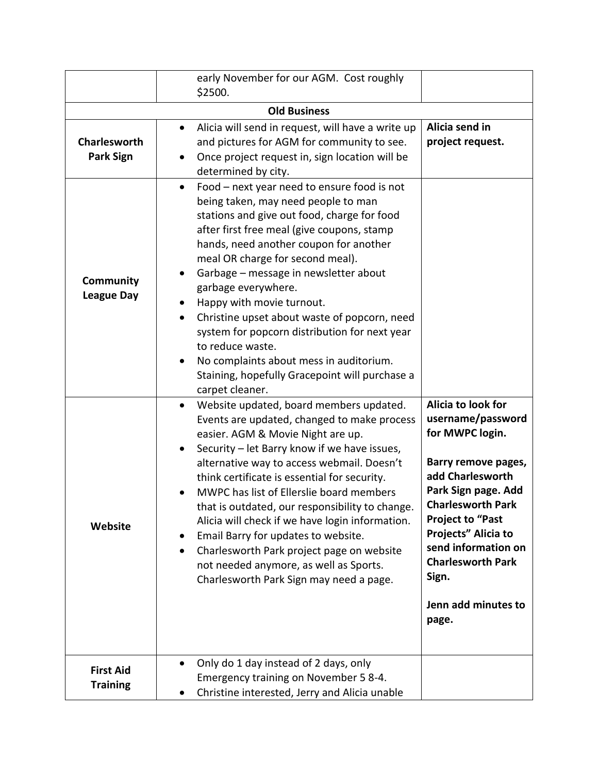|                                         | early November for our AGM. Cost roughly                                                                                                                                                                                                                                                                                                                                                                                                                                                                                                                                                                                                    |                                                                                                                                                                                                                                                                                                        |  |
|-----------------------------------------|---------------------------------------------------------------------------------------------------------------------------------------------------------------------------------------------------------------------------------------------------------------------------------------------------------------------------------------------------------------------------------------------------------------------------------------------------------------------------------------------------------------------------------------------------------------------------------------------------------------------------------------------|--------------------------------------------------------------------------------------------------------------------------------------------------------------------------------------------------------------------------------------------------------------------------------------------------------|--|
|                                         | \$2500.                                                                                                                                                                                                                                                                                                                                                                                                                                                                                                                                                                                                                                     |                                                                                                                                                                                                                                                                                                        |  |
| <b>Old Business</b>                     |                                                                                                                                                                                                                                                                                                                                                                                                                                                                                                                                                                                                                                             |                                                                                                                                                                                                                                                                                                        |  |
| <b>Charlesworth</b><br><b>Park Sign</b> | Alicia will send in request, will have a write up<br>٠<br>and pictures for AGM for community to see.<br>Once project request in, sign location will be<br>determined by city.                                                                                                                                                                                                                                                                                                                                                                                                                                                               | Alicia send in<br>project request.                                                                                                                                                                                                                                                                     |  |
| Community<br><b>League Day</b>          | Food - next year need to ensure food is not<br>$\bullet$<br>being taken, may need people to man<br>stations and give out food, charge for food<br>after first free meal (give coupons, stamp<br>hands, need another coupon for another<br>meal OR charge for second meal).<br>Garbage - message in newsletter about<br>garbage everywhere.<br>Happy with movie turnout.<br>Christine upset about waste of popcorn, need<br>system for popcorn distribution for next year<br>to reduce waste.<br>No complaints about mess in auditorium.<br>$\bullet$<br>Staining, hopefully Gracepoint will purchase a<br>carpet cleaner.                   |                                                                                                                                                                                                                                                                                                        |  |
| Website                                 | Website updated, board members updated.<br>$\bullet$<br>Events are updated, changed to make process<br>easier. AGM & Movie Night are up.<br>Security - let Barry know if we have issues,<br>$\bullet$<br>alternative way to access webmail. Doesn't<br>think certificate is essential for security.<br>MWPC has list of Ellerslie board members<br>that is outdated, our responsibility to change.<br>Alicia will check if we have login information.<br>Email Barry for updates to website.<br>Charlesworth Park project page on website<br>$\bullet$<br>not needed anymore, as well as Sports.<br>Charlesworth Park Sign may need a page. | Alicia to look for<br>username/password<br>for MWPC login.<br>Barry remove pages,<br>add Charlesworth<br>Park Sign page. Add<br><b>Charlesworth Park</b><br><b>Project to "Past</b><br>Projects" Alicia to<br>send information on<br><b>Charlesworth Park</b><br>Sign.<br>Jenn add minutes to<br>page. |  |
| <b>First Aid</b><br><b>Training</b>     | Only do 1 day instead of 2 days, only<br>Emergency training on November 5 8-4.<br>Christine interested, Jerry and Alicia unable                                                                                                                                                                                                                                                                                                                                                                                                                                                                                                             |                                                                                                                                                                                                                                                                                                        |  |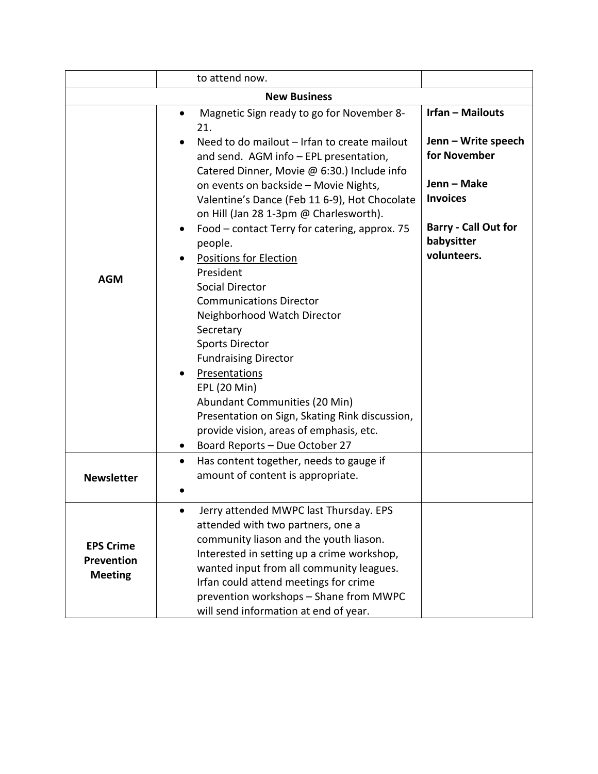|                                                  | to attend now.                                                                                                                                                                                                                                                                                                                                                                                                                                                                                                                                                                                                                                                                                                                                                                                                         |                                                                                                                                                              |  |  |
|--------------------------------------------------|------------------------------------------------------------------------------------------------------------------------------------------------------------------------------------------------------------------------------------------------------------------------------------------------------------------------------------------------------------------------------------------------------------------------------------------------------------------------------------------------------------------------------------------------------------------------------------------------------------------------------------------------------------------------------------------------------------------------------------------------------------------------------------------------------------------------|--------------------------------------------------------------------------------------------------------------------------------------------------------------|--|--|
| <b>New Business</b>                              |                                                                                                                                                                                                                                                                                                                                                                                                                                                                                                                                                                                                                                                                                                                                                                                                                        |                                                                                                                                                              |  |  |
| <b>AGM</b>                                       | Magnetic Sign ready to go for November 8-<br>$\bullet$<br>21.<br>Need to do mailout - Irfan to create mailout<br>and send. AGM info - EPL presentation,<br>Catered Dinner, Movie @ 6:30.) Include info<br>on events on backside - Movie Nights,<br>Valentine's Dance (Feb 11 6-9), Hot Chocolate<br>on Hill (Jan 28 1-3pm @ Charlesworth).<br>Food – contact Terry for catering, approx. 75<br>people.<br><b>Positions for Election</b><br>President<br>Social Director<br><b>Communications Director</b><br>Neighborhood Watch Director<br>Secretary<br><b>Sports Director</b><br><b>Fundraising Director</b><br><b>Presentations</b><br>EPL (20 Min)<br>Abundant Communities (20 Min)<br>Presentation on Sign, Skating Rink discussion,<br>provide vision, areas of emphasis, etc.<br>Board Reports - Due October 27 | <b>Irfan - Mailouts</b><br>Jenn - Write speech<br>for November<br>Jenn – Make<br><b>Invoices</b><br><b>Barry - Call Out for</b><br>babysitter<br>volunteers. |  |  |
| <b>Newsletter</b>                                | Has content together, needs to gauge if<br>$\bullet$<br>amount of content is appropriate.                                                                                                                                                                                                                                                                                                                                                                                                                                                                                                                                                                                                                                                                                                                              |                                                                                                                                                              |  |  |
| <b>EPS Crime</b><br>Prevention<br><b>Meeting</b> | Jerry attended MWPC last Thursday. EPS<br>attended with two partners, one a<br>community liason and the youth liason.<br>Interested in setting up a crime workshop,<br>wanted input from all community leagues.<br>Irfan could attend meetings for crime<br>prevention workshops - Shane from MWPC<br>will send information at end of year.                                                                                                                                                                                                                                                                                                                                                                                                                                                                            |                                                                                                                                                              |  |  |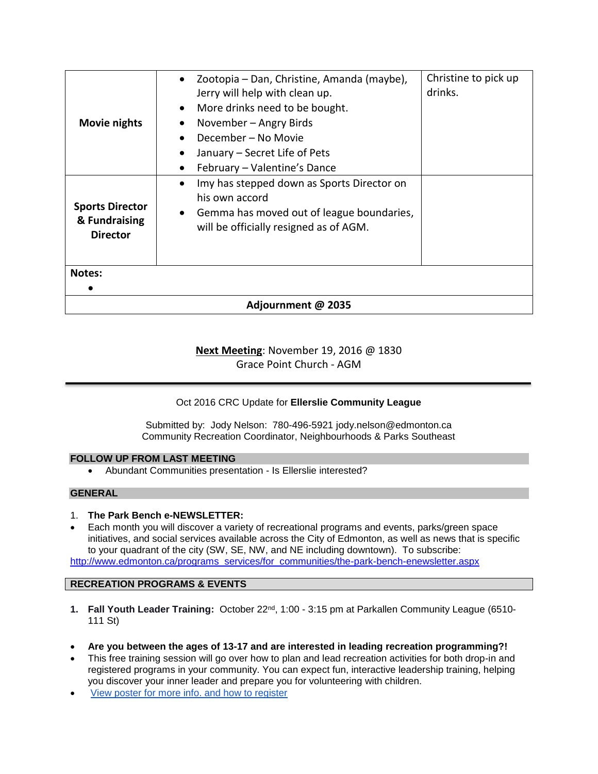| <b>Movie nights</b>                                        | Zootopia – Dan, Christine, Amanda (maybe),<br>$\bullet$<br>Jerry will help with clean up.<br>More drinks need to be bought.<br>$\bullet$<br>November – Angry Birds | Christine to pick up<br>drinks. |  |
|------------------------------------------------------------|--------------------------------------------------------------------------------------------------------------------------------------------------------------------|---------------------------------|--|
|                                                            | December - No Movie<br>January – Secret Life of Pets<br>February - Valentine's Dance                                                                               |                                 |  |
| <b>Sports Director</b><br>& Fundraising<br><b>Director</b> | Imy has stepped down as Sports Director on<br>his own accord<br>Gemma has moved out of league boundaries,<br>$\bullet$<br>will be officially resigned as of AGM.   |                                 |  |
| <b>Notes:</b>                                              |                                                                                                                                                                    |                                 |  |
| Adjournment @ 2035                                         |                                                                                                                                                                    |                                 |  |

## **Next Meeting**: November 19, 2016 @ 1830 Grace Point Church - AGM

### Oct 2016 CRC Update for **Ellerslie Community League**

Submitted by: Jody Nelson: 780-496-5921 jody.nelson@edmonton.ca Community Recreation Coordinator, Neighbourhoods & Parks Southeast

### **FOLLOW UP FROM LAST MEETING**

Abundant Communities presentation - Is Ellerslie interested?

### **GENERAL**

- 1. **The Park Bench e-NEWSLETTER:**
- Each month you will discover a variety of recreational programs and events, parks/green space initiatives, and social services available across the City of Edmonton, as well as news that is specific to your quadrant of the city (SW, SE, NW, and NE including downtown). To subscribe: [http://www.edmonton.ca/programs\\_services/for\\_communities/the-park-bench-enewsletter.aspx](http://www.edmonton.ca/programs_services/for_communities/the-park-bench-enewsletter.aspx)

**RECREATION PROGRAMS & EVENTS**

- **1. Fall Youth Leader Training:** October 22nd, 1:00 3:15 pm at Parkallen Community League (6510- 111 St)
- **Are you between the ages of 13-17 and are interested in leading recreation programming?!**
- This free training session will go over how to plan and lead recreation activities for both drop-in and registered programs in your community. You can expect fun, interactive leadership training, helping you discover your inner leader and prepare you for volunteering with children.
- [View poster for more info. and how to register](http://www.mailoutinteractive.com/Industry/LandingPage.aspx?id=2211247&lm=33742343&q=1092326292&qz=cc1723a3051d9707a98c5773f7cdf8f7)